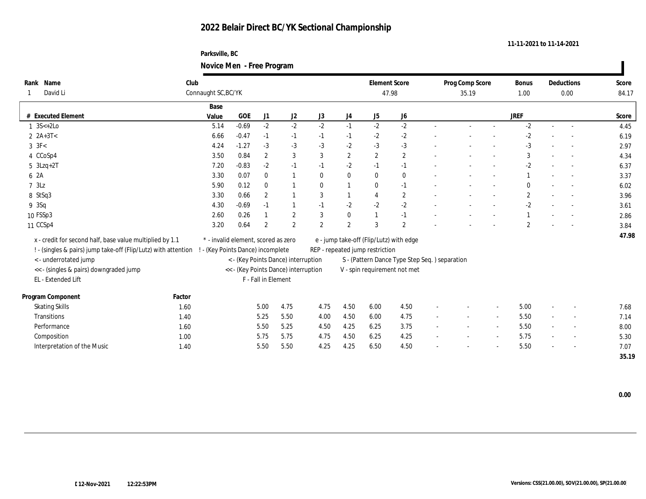### **Parksville, BC Novice Men - Free Program**

|                                                                |        |                                     |         |                     | $\overline{\phantom{0}}$                                                   |                |                                               |                      |                              |        |                 |                          |              |                          |                          |       |
|----------------------------------------------------------------|--------|-------------------------------------|---------|---------------------|----------------------------------------------------------------------------|----------------|-----------------------------------------------|----------------------|------------------------------|--------|-----------------|--------------------------|--------------|--------------------------|--------------------------|-------|
| Rank Name                                                      | Club   |                                     |         |                     |                                                                            |                |                                               | <b>Element Score</b> |                              |        | Prog Comp Score |                          | Bonus        |                          | Deductions               | Score |
| David Li                                                       |        | Connaught SC, BC/YK                 |         |                     |                                                                            |                |                                               | 47.98                |                              |        | 35.19           |                          | 1.00         |                          | 0.00                     | 84.17 |
|                                                                |        | Base                                |         |                     |                                                                            |                |                                               |                      |                              |        |                 |                          |              |                          |                          |       |
| # Executed Element                                             |        | Value                               | GOE     | $\rm J1$            | $\mathrm{J}2$                                                              | J3             | $_{\mathrm{J}4}$                              | J5                   | ${\bf J6}$                   |        |                 |                          | <b>JREF</b>  |                          |                          | Score |
| $1 \, 3S \leftarrow 2Lo$                                       |        | 5.14                                | $-0.69$ | $-2$                | $-2$                                                                       | $-2$           | $-1$                                          | $-2$                 | $-2$                         |        |                 | $\sim$                   | $-2$         | $\sim$                   | $\overline{\phantom{a}}$ | 4.45  |
| 2 $2A+3T<$                                                     |        | 6.66                                | $-0.47$ | $-1$                | $-1$                                                                       | $-1$           | $-1$                                          | $-2$                 | $-2$                         |        |                 |                          | $-2$         |                          |                          | 6.19  |
| $3 \text{ } 3\text{F} <$                                       |        | 4.24                                | $-1.27$ | $-3$                | $-3$                                                                       | $-3$           | $-2$                                          | $-3$                 | $-3$                         |        |                 |                          | $-3$         |                          |                          | 2.97  |
| 4 CCoSp4                                                       |        | 3.50                                | 0.84    | $\boldsymbol{2}$    | 3                                                                          | 3              | $\boldsymbol{2}$                              | $\boldsymbol{2}$     | $\boldsymbol{2}$             |        |                 |                          | 3            |                          |                          | 4.34  |
| $5 \text{ } 3Lzq+2T$                                           |        | 7.20                                | $-0.83$ | $-2$                | $-1$                                                                       | $-1$           | $-2$                                          | $-1$                 | $-1$                         |        |                 |                          | $-2$         |                          |                          | 6.37  |
| 6 2A                                                           |        | 3.30                                | 0.07    | $\bf{0}$            |                                                                            | $\bf{0}$       | $\bf{0}$                                      | $\mathbf{0}$         | $\bf{0}$                     |        |                 |                          |              |                          |                          | 3.37  |
| 73Lz                                                           |        | 5.90                                | 0.12    | $\bf{0}$            |                                                                            | $\bf{0}$       | $\mathbf{1}$                                  | $\bf{0}$             | $-1$                         |        |                 |                          | $\mathbf{0}$ |                          |                          | 6.02  |
| 8 StSq3                                                        |        | 3.30                                | 0.66    | $\boldsymbol{2}$    |                                                                            | 3              | $\overline{1}$                                | $\overline{4}$       | $\boldsymbol{2}$             |        |                 | $\overline{\phantom{a}}$ | $\mathbf{2}$ |                          |                          | 3.96  |
| 9 3Sq                                                          |        | 4.30                                | $-0.69$ | $-1$                | 1                                                                          | $-1$           | $-2$                                          | $\mbox{-}2$          | $\text{-}2$                  |        |                 |                          | $-2$         |                          |                          | 3.61  |
| 10 FSSp3                                                       |        | 2.60                                | 0.26    |                     | $\overline{2}$                                                             | 3              | $\bf{0}$                                      | $\mathbf{1}$         | $-1$                         |        |                 |                          |              |                          |                          | 2.86  |
| 11 CCSp4                                                       |        | 3.20                                | 0.64    | $\overline{2}$      | $\overline{2}$                                                             | $\overline{2}$ | $\mathbf{2}$                                  | 3                    | 2                            |        |                 |                          | $\mathbf{2}$ |                          |                          | 3.84  |
| x - credit for second half, base value multiplied by 1.1       |        | * - invalid element, scored as zero |         |                     |                                                                            |                |                                               |                      |                              |        |                 |                          |              |                          |                          | 47.98 |
| ! - (singles & pairs) jump take-off (Flip/Lutz) with attention |        | - (Key Points Dance) incomplete     |         |                     | e - jump take-off (Flip/Lutz) with edge<br>REP - repeated jump restriction |                |                                               |                      |                              |        |                 |                          |              |                          |                          |       |
| < - underrotated jump                                          |        |                                     |         |                     | < - (Key Points Dance) interruption                                        |                | S - (Pattern Dance Type Step Seq.) separation |                      |                              |        |                 |                          |              |                          |                          |       |
| << - (singles & pairs) downgraded jump                         |        |                                     |         |                     | << - (Key Points Dance) interruption                                       |                |                                               |                      | V - spin requirement not met |        |                 |                          |              |                          |                          |       |
| EL - Extended Lift                                             |        |                                     |         | F - Fall in Element |                                                                            |                |                                               |                      |                              |        |                 |                          |              |                          |                          |       |
|                                                                |        |                                     |         |                     |                                                                            |                |                                               |                      |                              |        |                 |                          |              |                          |                          |       |
| Program Component                                              | Factor |                                     |         |                     |                                                                            |                |                                               |                      |                              |        |                 |                          |              |                          |                          |       |
| <b>Skating Skills</b>                                          | 1.60   |                                     |         | 5.00                | 4.75                                                                       | 4.75           | 4.50                                          | 6.00                 | 4.50                         |        |                 |                          | 5.00         | $\overline{\phantom{a}}$ |                          | 7.68  |
| <b>Transitions</b>                                             | 1.40   |                                     |         | 5.25                | 5.50                                                                       | 4.00           | 4.50                                          | 6.00                 | 4.75                         |        |                 | $\overline{\phantom{a}}$ | 5.50         |                          | $\sim$                   | 7.14  |
| Performance                                                    | 1.60   |                                     |         | 5.50                | 5.25                                                                       | 4.50           | 4.25                                          | 6.25                 | 3.75                         | $\sim$ | $\sim$          | $\overline{\phantom{a}}$ | 5.50         |                          | $\overline{\phantom{a}}$ | 8.00  |
| Composition                                                    | 1.00   |                                     |         | 5.75                | 5.75                                                                       | 4.75           | 4.50                                          | 6.25                 | 4.25                         | $\sim$ | $\sim$          | $\sim$                   | 5.75         | $\overline{\phantom{a}}$ | $\overline{\phantom{a}}$ | 5.30  |
| Interpretation of the Music                                    | 1.40   |                                     |         | 5.50                | 5.50                                                                       | 4.25           | 4.25                                          | 6.50                 | 4.50                         |        |                 |                          | 5.50         |                          |                          | 7.07  |
|                                                                |        |                                     |         |                     |                                                                            |                |                                               |                      |                              |        |                 |                          |              |                          |                          | 35.19 |

 $\blacksquare$ 

**11-11-2021 to 11-14-2021**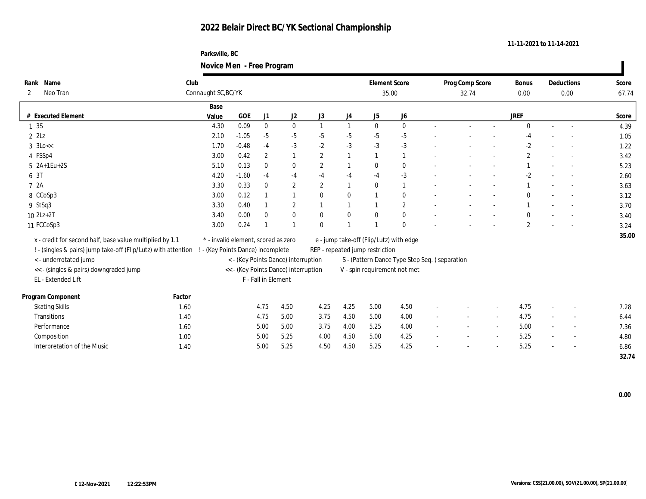### **Parksville, BC Novice Men - Free Program**

|              |                                                                |                     |                                      |                     | $\mathbf{\mathcal{C}}$              |                  |              |                                 |                                               |                          |                 |                          |                |        |            |       |
|--------------|----------------------------------------------------------------|---------------------|--------------------------------------|---------------------|-------------------------------------|------------------|--------------|---------------------------------|-----------------------------------------------|--------------------------|-----------------|--------------------------|----------------|--------|------------|-------|
|              | Rank Name                                                      | Club                |                                      |                     |                                     |                  |              |                                 | <b>Element Score</b>                          |                          | Prog Comp Score |                          | Bonus          |        | Deductions | Score |
| $\mathbf{2}$ | Neo Tran                                                       | Connaught SC, BC/YK |                                      |                     |                                     |                  |              |                                 | 35.00                                         |                          | 32.74           |                          | 0.00           |        | 0.00       | 67.74 |
|              |                                                                | Base                |                                      |                     |                                     |                  |              |                                 |                                               |                          |                 |                          |                |        |            |       |
| #            | <b>Executed Element</b>                                        | Value               | GOE                                  | J1                  | J2                                  | J3               | J4           | ${\rm J}5$                      | J6                                            |                          |                 |                          | <b>JREF</b>    |        |            | Score |
| 1 3 S        |                                                                | 4.30                | 0.09                                 | $\bf{0}$            | $\bf{0}$                            |                  | $\mathbf{1}$ | $\mathbf{0}$                    | $\mathbf{0}$                                  |                          |                 | $\sim$                   | $\Omega$       | $\sim$ |            | 4.39  |
| $2$ $2$ Lz   |                                                                | 2.10                | $-1.05$                              | $-5$                | $-5$                                | $-5$             | $-5$         | $-5$                            | $-5$                                          |                          |                 |                          | -4             |        |            | 1.05  |
|              | $3 \text{ k}$                                                  | 1.70                | $-0.48$                              | $-4$                | $-3$                                | $-2$             | $-3$         | $-3$                            | $-3$                                          |                          |                 |                          | $-2$           |        |            | 1.22  |
|              | 4 FSSp4                                                        | 3.00                | 0.42                                 | $\boldsymbol{2}$    |                                     | $\boldsymbol{2}$ | $\mathbf{1}$ | $\overline{1}$                  | 1                                             |                          |                 |                          | $\overline{c}$ |        |            | 3.42  |
|              | $5 \quad 2A+1Eu+2S$                                            | 5.10                | 0.13                                 | $\bf{0}$            | $\bf{0}$                            | $\boldsymbol{2}$ | $\mathbf{1}$ | $\mathbf{0}$                    | $\bf{0}$                                      |                          |                 |                          |                |        |            | 5.23  |
| 6 3T         |                                                                | 4.20                | $-1.60$                              | $-4$                | $-4$                                | $-4$             | $-4$         | $-4$                            | $-3$                                          |                          |                 |                          | $-2$           |        |            | 2.60  |
| 7 2A         |                                                                | 3.30                | 0.33                                 | $\bf{0}$            | $\sqrt{2}$                          | $\boldsymbol{2}$ | $\mathbf{1}$ | $\mathbf{0}$                    | $\mathbf{1}$                                  |                          |                 | $\sim$                   |                | $\sim$ | $\sim$     | 3.63  |
|              | 8 CCoSp3                                                       | 3.00                | 0.12                                 |                     |                                     | $\bf{0}$         | $\bf{0}$     |                                 | $\bf{0}$                                      |                          |                 | $\overline{\phantom{a}}$ | $\Omega$       |        |            | 3.12  |
|              | 9 StSq3                                                        | 3.30                | 0.40                                 |                     | $\boldsymbol{2}$                    |                  | $\mathbf{1}$ |                                 | $\sqrt{2}$                                    |                          |                 |                          |                |        |            | 3.70  |
|              | $10 2Lz + 2T$                                                  | 3.40                | 0.00                                 | $\mathbf{0}$        | $\bf{0}$                            | $\mathbf{0}$     | $\bf{0}$     | $\mathbf{0}$                    | $\bf{0}$                                      |                          |                 |                          | $\mathbf{0}$   |        |            | 3.40  |
|              | 11 FCCoSp3                                                     | 3.00                | 0.24                                 |                     |                                     | $\mathbf{0}$     |              |                                 | $\mathbf{0}$                                  |                          |                 |                          | $\overline{2}$ |        |            | 3.24  |
|              | x - credit for second half, base value multiplied by 1.1       |                     | * - invalid element, scored as zero  |                     |                                     |                  |              |                                 | e - jump take-off (Flip/Lutz) with edge       |                          |                 |                          |                |        |            | 35.00 |
|              | ! - (singles & pairs) jump take-off (Flip/Lutz) with attention |                     | - (Key Points Dance) incomplete      |                     |                                     |                  |              | REP - repeated jump restriction |                                               |                          |                 |                          |                |        |            |       |
|              | <- underrotated jump                                           |                     |                                      |                     | < - (Key Points Dance) interruption |                  |              |                                 | S - (Pattern Dance Type Step Seq.) separation |                          |                 |                          |                |        |            |       |
|              | << - (singles & pairs) downgraded jump                         |                     | << - (Key Points Dance) interruption |                     |                                     |                  |              |                                 | V - spin requirement not met                  |                          |                 |                          |                |        |            |       |
|              | EL - Extended Lift                                             |                     |                                      | F - Fall in Element |                                     |                  |              |                                 |                                               |                          |                 |                          |                |        |            |       |
|              |                                                                |                     |                                      |                     |                                     |                  |              |                                 |                                               |                          |                 |                          |                |        |            |       |
|              | Program Component                                              | Factor              |                                      |                     |                                     |                  |              |                                 |                                               |                          |                 |                          |                |        |            |       |
|              | <b>Skating Skills</b>                                          | 1.60                |                                      | 4.75                | 4.50                                | 4.25             | 4.25         | 5.00                            | 4.50                                          |                          |                 |                          | 4.75           |        |            | 7.28  |
|              | Transitions                                                    | 1.40                |                                      | 4.75                | 5.00                                | 3.75             | 4.50         | 5.00                            | 4.00                                          |                          |                 | $\sim$                   | 4.75           |        |            | 6.44  |
|              | Performance                                                    | 1.60                |                                      | 5.00                | 5.00                                | 3.75             | 4.00         | 5.25                            | 4.00                                          |                          |                 | $\sim$                   | 5.00           |        | $\sim$     | 7.36  |
|              | Composition                                                    | 1.00                |                                      | 5.00                | 5.25                                | 4.00             | 4.50         | 5.00                            | 4.25                                          | $\overline{\phantom{a}}$ |                 | $\sim$                   | 5.25           | $\sim$ |            | 4.80  |
|              | Interpretation of the Music                                    | 1.40                |                                      | 5.00                | 5.25                                | 4.50             | 4.50         | 5.25                            | 4.25                                          |                          |                 |                          | 5.25           |        |            | 6.86  |
|              |                                                                |                     |                                      |                     |                                     |                  |              |                                 |                                               |                          |                 |                          |                |        |            | 32.74 |

 $\blacksquare$ 

**11-11-2021 to 11-14-2021**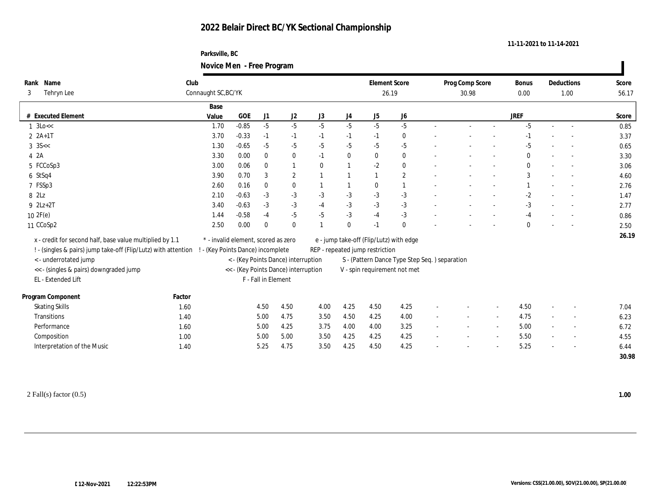### **Parksville, BC Novice Men - Free Program**

| Name<br>Rank                                                   | Club   |                                                                          |            |                     |                  |              |          | <b>Element Score</b>                                                             |                              |                          | Prog Comp Score          |        | Bonus        |        | Deductions               | Score |
|----------------------------------------------------------------|--------|--------------------------------------------------------------------------|------------|---------------------|------------------|--------------|----------|----------------------------------------------------------------------------------|------------------------------|--------------------------|--------------------------|--------|--------------|--------|--------------------------|-------|
| Tehryn Lee<br>3                                                |        | Connaught SC, BC/YK                                                      |            |                     |                  |              | 26.19    |                                                                                  |                              |                          | 30.98                    | 0.00   | 1.00         |        | 56.17                    |       |
|                                                                |        | Base                                                                     |            |                     |                  |              |          |                                                                                  |                              |                          |                          |        |              |        |                          |       |
| # Executed Element                                             |        | Value                                                                    | <b>GOE</b> | J1                  | J2               | J3           | J4       | ${\rm J}5$                                                                       | J <sub>6</sub>               |                          |                          |        | <b>JREF</b>  |        |                          | Score |
| $1 \text{ } 3 \text{Lo} <<$                                    |        | 1.70                                                                     | $-0.85$    | $-5$                | $-5$             | $-5$         | $-5$     | $-5$                                                                             | $-5$                         |                          | $\overline{\phantom{a}}$ | $\sim$ | $-5$         | $\sim$ | $\sim$                   | 0.85  |
| $2 \; 2A+1T$                                                   |        | 3.70                                                                     | $-0.33$    | $-1$                | $-1$             | $-1$         | $-1$     | $-1$                                                                             | $\bf{0}$                     |                          |                          |        |              |        |                          | 3.37  |
| $3$ 3S $<<$                                                    |        | 1.30                                                                     | $-0.65$    | $-5$                | $-5$             | $-5$         | $-5$     | $-5$                                                                             | $-5$                         |                          |                          |        | $-5$         |        |                          | 0.65  |
| 4 2A                                                           |        | 3.30                                                                     | 0.00       | $\mathbf{0}$        | $\bf{0}$         | $-1$         | $\bf{0}$ | $\bf{0}$                                                                         | $\bf{0}$                     |                          |                          |        | $\bf{0}$     |        |                          | 3.30  |
| 5 FCCoSp3                                                      |        | 3.00                                                                     | 0.06       | $\mathbf{0}$        |                  | $\mathbf{0}$ |          | $-2$                                                                             | $\bf{0}$                     |                          |                          |        | $\mathbf{0}$ |        |                          | 3.06  |
| 6 StSq4                                                        |        | 3.90                                                                     | 0.70       | 3                   | $\boldsymbol{2}$ |              |          |                                                                                  | $\mathbf{2}$                 |                          |                          |        | 3            |        |                          | 4.60  |
| 7 FSSp3                                                        |        | 2.60                                                                     | 0.16       | $\bf{0}$            | $\boldsymbol{0}$ |              |          | $\bf{0}$                                                                         | $\overline{1}$               |                          |                          |        |              |        |                          | 2.76  |
| 8 2Lz                                                          |        | 2.10                                                                     | $-0.63$    | $-3$                | $-3$             | $-3$         | $-3$     | $-3$                                                                             | $-3$                         |                          |                          |        | $-2$         |        |                          | 1.47  |
| $9 \t2Lz+2T$                                                   |        | 3.40                                                                     | $-0.63$    | $-3$                | $-3$             | $-4$         | $-3$     | $-3$                                                                             | $\text{-}3$                  |                          |                          |        | $-3$         |        |                          | 2.77  |
| 102F(e)                                                        |        | 1.44                                                                     | $-0.58$    | $-4$                | $-5$             | $-5$         | $-3$     | $-4$                                                                             | $-3$                         |                          |                          |        | $-4$         |        |                          | 0.86  |
| 11 CCoSp2                                                      |        | 2.50                                                                     | 0.00       | $\theta$            | $\boldsymbol{0}$ |              | $\bf{0}$ | $-1$                                                                             | $\mathbf{0}$                 |                          |                          |        | $\bf{0}$     |        |                          | 2.50  |
| x - credit for second half, base value multiplied by 1.1       |        | * - invalid element, scored as zero                                      |            |                     |                  |              |          | e - jump take-off (Flip/Lutz) with edge                                          |                              |                          |                          |        |              |        |                          | 26.19 |
| ! - (singles & pairs) jump take-off (Flip/Lutz) with attention |        |                                                                          |            |                     |                  |              |          |                                                                                  |                              |                          |                          |        |              |        |                          |       |
| <- underrotated jump                                           |        | ! - (Key Points Dance) incomplete<br>< - (Key Points Dance) interruption |            |                     |                  |              |          | REP - repeated jump restriction<br>S - (Pattern Dance Type Step Seq.) separation |                              |                          |                          |        |              |        |                          |       |
| << - (singles & pairs) downgraded jump                         |        | << - (Key Points Dance) interruption                                     |            |                     |                  |              |          |                                                                                  | V - spin requirement not met |                          |                          |        |              |        |                          |       |
| EL - Extended Lift                                             |        |                                                                          |            | F - Fall in Element |                  |              |          |                                                                                  |                              |                          |                          |        |              |        |                          |       |
|                                                                |        |                                                                          |            |                     |                  |              |          |                                                                                  |                              |                          |                          |        |              |        |                          |       |
| Program Component                                              | Factor |                                                                          |            |                     |                  |              |          |                                                                                  |                              |                          |                          |        |              |        |                          |       |
| <b>Skating Skills</b>                                          | 1.60   |                                                                          |            | 4.50                | 4.50             | 4.00         | 4.25     | 4.50                                                                             | 4.25                         |                          |                          |        | 4.50         | $\sim$ |                          | 7.04  |
| Transitions                                                    | 1.40   |                                                                          |            | 5.00                | 4.75             | 3.50         | 4.50     | 4.25                                                                             | 4.00                         |                          |                          |        | 4.75         |        |                          | 6.23  |
| Performance                                                    | 1.60   |                                                                          |            | 5.00                | 4.25             | 3.75         | 4.00     | 4.00                                                                             | 3.25                         | $\overline{\phantom{a}}$ |                          | $\sim$ | 5.00         | $\sim$ |                          | 6.72  |
| Composition                                                    | 1.00   |                                                                          |            | 5.00                | 5.00             | 3.50         | 4.25     | 4.25                                                                             | 4.25                         |                          |                          | $\sim$ | 5.50         |        | $\overline{\phantom{a}}$ | 4.55  |
| Interpretation of the Music                                    | 1.40   |                                                                          |            | 5.25                | 4.75             | 3.50         | 4.25     | 4.50                                                                             | 4.25                         |                          |                          |        | 5.25         |        |                          | 6.44  |
|                                                                |        |                                                                          |            |                     |                  |              |          |                                                                                  |                              |                          |                          |        |              |        |                          | 30.98 |

2 Fall(s) factor (0.5) **1.00**

 $\blacksquare$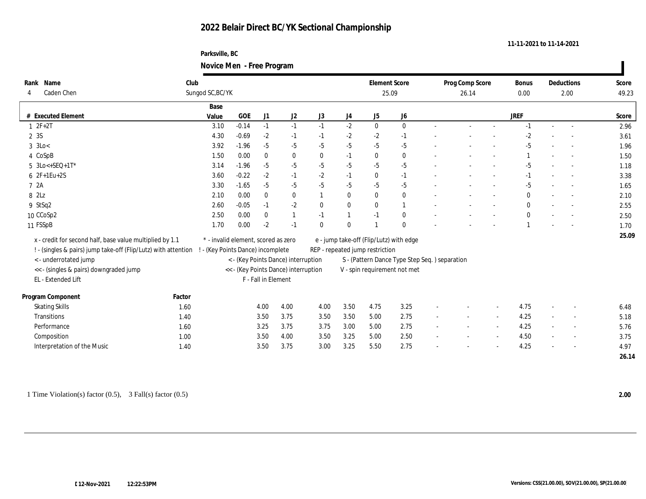### **Parksville, BC Novice Men - Free Program**

|                                                                |        |                                     |                                     |                     | $\sigma$                             |                  |                                                |                                 |                                         |  |                 |                          |              |                          |            |       |
|----------------------------------------------------------------|--------|-------------------------------------|-------------------------------------|---------------------|--------------------------------------|------------------|------------------------------------------------|---------------------------------|-----------------------------------------|--|-----------------|--------------------------|--------------|--------------------------|------------|-------|
| Rank Name                                                      | Club   |                                     |                                     |                     |                                      |                  |                                                | <b>Element Score</b>            |                                         |  | Prog Comp Score |                          | Bonus        |                          | Deductions | Score |
| Caden Chen<br>4                                                |        | Sungod SC, BC/YK                    |                                     |                     |                                      |                  |                                                |                                 | 25.09                                   |  | 26.14           |                          | 0.00         |                          | 2.00       | 49.23 |
|                                                                |        | Base                                |                                     |                     |                                      |                  |                                                |                                 |                                         |  |                 |                          |              |                          |            |       |
| # Executed Element                                             |        | Value                               | <b>GOE</b>                          | J1                  | J2                                   | $_{\mathrm{J}3}$ | $_{\mathrm{J}4}$                               | ${\rm J}5$                      | ${\bf J6}$                              |  |                 |                          | <b>JREF</b>  |                          |            | Score |
| $1 2F+2T$                                                      |        | 3.10                                | $-0.14$                             | $-1$                | $-1$                                 | $-1$             | $-2$                                           | $\mathbf{0}$                    | $\mathbf{0}$                            |  |                 | $\overline{\phantom{a}}$ | $-1$         | $\sim$                   |            | 2.96  |
| 2 3S                                                           |        | 4.30                                | $-0.69$                             | $-2$                | $-1$                                 | $-1$             | $-2$                                           | $-2$                            | $-1$                                    |  |                 |                          | $-2$         |                          |            | 3.61  |
| $3 \text{ } 3$ Lo<                                             |        | 3.92                                | $-1.96$                             | $-5$                | $-5$                                 | $-5$             | $-5$                                           | $-5$                            | $-5$                                    |  |                 |                          | $-5$         |                          |            | 1.96  |
| 4 CoSpB                                                        |        | 1.50                                | 0.00                                | $\bf{0}$            | $\bf{0}$                             | $\bf{0}$         | $-1$                                           | $\bf{0}$                        | $\bf{0}$                                |  |                 |                          |              |                          |            | 1.50  |
| $5 \text{ } 3\text{Lo} \leftarrow \text{SEQ} + 1\text{T*}$     |        | 3.14                                | $-1.96$                             | $-5$                | $-5$                                 | $-5$             | $-5$                                           | $-5$                            | $-5$                                    |  |                 |                          | $-5$         |                          |            | 1.18  |
| $62F+1Eu+2S$                                                   |        | 3.60                                | $-0.22$                             | $-2$                | $-1$                                 | $-2$             | $-1$                                           | $\bf{0}$                        | $-1$                                    |  |                 |                          | $-1$         |                          |            | 3.38  |
| 7 2A                                                           |        | 3.30                                | $-1.65$                             | $-5$                | $-5$                                 | $-5$             | $-5$                                           | $-5$                            | $-5$                                    |  |                 |                          | $-5$         |                          |            | 1.65  |
| 8 2Lz                                                          |        | 2.10                                | 0.00                                | $\bf{0}$            | $\bf{0}$                             | $\mathbf{1}$     | $\bf{0}$                                       | $\bf{0}$                        | $\boldsymbol{0}$                        |  |                 | $\sim$                   | $\bf{0}$     | $\sim$                   |            | 2.10  |
| 9 StSq2                                                        |        | 2.60                                | $-0.05$                             | $-1$                | $-2$                                 | $\bf{0}$         | $\bf{0}$                                       | $\bf{0}$                        | $\mathbf{1}$                            |  |                 |                          | $\mathbf{0}$ |                          |            | 2.55  |
| 10 CCoSp2                                                      |        | 2.50                                | 0.00                                | $\mathbf{0}$        | $\mathbf{1}$                         | $-1$             | $\mathbf{1}$                                   | $-1$                            | $\bf{0}$                                |  |                 |                          | $\bf{0}$     |                          |            | 2.50  |
| 11 FSSpB                                                       |        | 1.70                                | 0.00                                | $-2$                | $-1$                                 | $\bf{0}$         | $\bf{0}$                                       |                                 | $\mathbf{0}$                            |  |                 |                          |              |                          |            | 1.70  |
| x - credit for second half, base value multiplied by 1.1       |        | * - invalid element, scored as zero |                                     |                     |                                      |                  |                                                |                                 | e - jump take-off (Flip/Lutz) with edge |  |                 |                          |              |                          |            | 25.09 |
| ! - (singles & pairs) jump take-off (Flip/Lutz) with attention |        | ! - (Key Points Dance) incomplete   |                                     |                     |                                      |                  |                                                | REP - repeated jump restriction |                                         |  |                 |                          |              |                          |            |       |
| <- underrotated jump                                           |        |                                     | < - (Key Points Dance) interruption |                     |                                      |                  | S - (Pattern Dance Type Step Seq. ) separation |                                 |                                         |  |                 |                          |              |                          |            |       |
| << - (singles & pairs) downgraded jump                         |        |                                     |                                     |                     | << - (Key Points Dance) interruption |                  |                                                |                                 | V - spin requirement not met            |  |                 |                          |              |                          |            |       |
| EL - Extended Lift                                             |        |                                     |                                     | F - Fall in Element |                                      |                  |                                                |                                 |                                         |  |                 |                          |              |                          |            |       |
| Program Component                                              | Factor |                                     |                                     |                     |                                      |                  |                                                |                                 |                                         |  |                 |                          |              |                          |            |       |
| <b>Skating Skills</b>                                          | 1.60   |                                     |                                     | 4.00                | 4.00                                 | 4.00             | 3.50                                           | 4.75                            | 3.25                                    |  |                 |                          | 4.75         | $\overline{\phantom{a}}$ |            | 6.48  |
| Transitions                                                    | 1.40   |                                     |                                     | 3.50                | 3.75                                 | 3.50             | 3.50                                           | 5.00                            | 2.75                                    |  |                 |                          | 4.25         | $\sim$                   |            | 5.18  |
| Performance                                                    | 1.60   |                                     |                                     | 3.25                | 3.75                                 | 3.75             | 3.00                                           | 5.00                            | 2.75                                    |  |                 | $\sim$                   | 4.25         | $\sim$                   |            | 5.76  |
| Composition                                                    | 1.00   |                                     |                                     | 3.50                | 4.00                                 | 3.50             | 3.25                                           | 5.00                            | 2.50                                    |  |                 |                          | 4.50         | $\overline{\phantom{a}}$ |            | 3.75  |
| Interpretation of the Music                                    | 1.40   |                                     |                                     | 3.50                | 3.75                                 | 3.00             | 3.25                                           | 5.50                            | 2.75                                    |  |                 |                          | 4.25         | ÷                        |            | 4.97  |
|                                                                |        |                                     |                                     |                     |                                      |                  |                                                |                                 |                                         |  |                 |                          |              |                          |            | 26.14 |
|                                                                |        |                                     |                                     |                     |                                      |                  |                                                |                                 |                                         |  |                 |                          |              |                          |            |       |

**11-11-2021 to 11-14-2021**

 $\blacksquare$